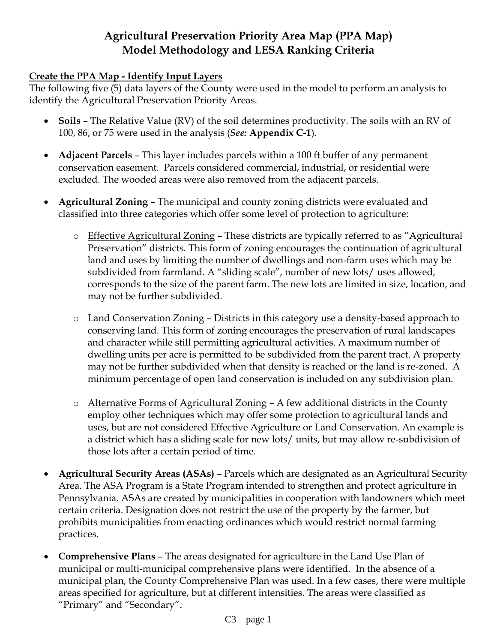# **Agricultural Preservation Priority Area Map (PPA Map) Model Methodology and LESA Ranking Criteria**

#### **Create the PPA Map - Identify Input Layers**

The following five (5) data layers of the County were used in the model to perform an analysis to identify the Agricultural Preservation Priority Areas.

- **Soils**  The Relative Value (RV) of the soil determines productivity. The soils with an RV of 100, 86, or 75 were used in the analysis (*See:* **Appendix C-1**).
- **Adjacent Parcels** This layer includes parcels within a 100 ft buffer of any permanent conservation easement. Parcels considered commercial, industrial, or residential were excluded. The wooded areas were also removed from the adjacent parcels.
- **Agricultural Zoning** The municipal and county zoning districts were evaluated and classified into three categories which offer some level of protection to agriculture:
	- o Effective Agricultural Zoning These districts are typically referred to as "Agricultural Preservation" districts. This form of zoning encourages the continuation of agricultural land and uses by limiting the number of dwellings and non-farm uses which may be subdivided from farmland. A "sliding scale", number of new lots/ uses allowed, corresponds to the size of the parent farm. The new lots are limited in size, location, and may not be further subdivided.
	- o Land Conservation Zoning Districts in this category use a density-based approach to conserving land. This form of zoning encourages the preservation of rural landscapes and character while still permitting agricultural activities. A maximum number of dwelling units per acre is permitted to be subdivided from the parent tract. A property may not be further subdivided when that density is reached or the land is re-zoned. A minimum percentage of open land conservation is included on any subdivision plan.
	- o Alternative Forms of Agricultural Zoning A few additional districts in the County employ other techniques which may offer some protection to agricultural lands and uses, but are not considered Effective Agriculture or Land Conservation. An example is a district which has a sliding scale for new lots/ units, but may allow re-subdivision of those lots after a certain period of time.
- **Agricultural Security Areas (ASAs)** Parcels which are designated as an Agricultural Security Area. The ASA Program is a State Program intended to strengthen and protect agriculture in Pennsylvania. ASAs are created by municipalities in cooperation with landowners which meet certain criteria. Designation does not restrict the use of the property by the farmer, but prohibits municipalities from enacting ordinances which would restrict normal farming practices.
- **Comprehensive Plans**  The areas designated for agriculture in the Land Use Plan of municipal or multi-municipal comprehensive plans were identified. In the absence of a municipal plan, the County Comprehensive Plan was used. In a few cases, there were multiple areas specified for agriculture, but at different intensities. The areas were classified as "Primary" and "Secondary".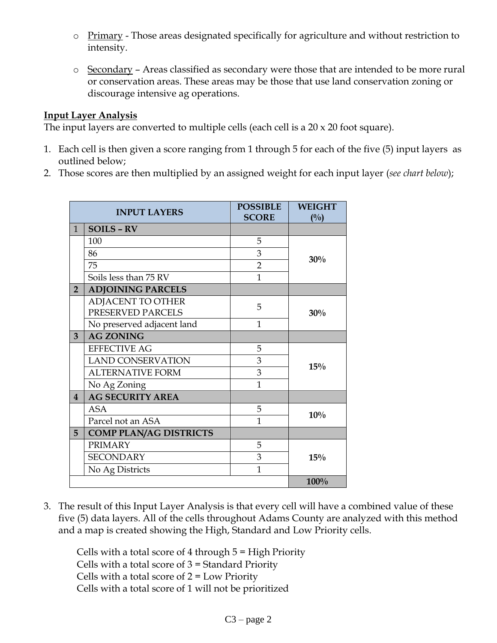- o Primary Those areas designated specifically for agriculture and without restriction to intensity.
- o Secondary Areas classified as secondary were those that are intended to be more rural or conservation areas. These areas may be those that use land conservation zoning or discourage intensive ag operations.

### **Input Layer Analysis**

The input layers are converted to multiple cells (each cell is a  $20 \times 20$  foot square).

- 1. Each cell is then given a score ranging from 1 through 5 for each of the five (5) input layers as outlined below;
- 2. Those scores are then multiplied by an assigned weight for each input layer (*see chart below*);

| <b>INPUT LAYERS</b> |                               | <b>POSSIBLE</b><br><b>SCORE</b> | <b>WEIGHT</b> |
|---------------------|-------------------------------|---------------------------------|---------------|
| $\mathbf{1}$        | <b>SOILS - RV</b>             |                                 | (0/0)         |
|                     | 100                           | 5                               |               |
|                     | 86                            | 3                               |               |
|                     | 75                            | $\overline{2}$                  | 30%           |
|                     | Soils less than 75 RV         | $\mathbf{1}$                    |               |
| $\overline{2}$      | <b>ADJOINING PARCELS</b>      |                                 |               |
|                     | <b>ADJACENT TO OTHER</b>      | 5                               |               |
|                     | PRESERVED PARCELS             |                                 | 30%           |
|                     | No preserved adjacent land    | $\mathbf{1}$                    |               |
| 3                   | <b>AG ZONING</b>              |                                 |               |
|                     | <b>EFFECTIVE AG</b>           | 5                               |               |
|                     | <b>LAND CONSERVATION</b>      | 3                               | 15%           |
|                     | <b>ALTERNATIVE FORM</b>       | 3                               |               |
|                     | No Ag Zoning                  | $\mathbf{1}$                    |               |
| $\overline{4}$      | <b>AG SECURITY AREA</b>       |                                 |               |
|                     | ASA                           | 5                               | 10%           |
|                     | Parcel not an ASA             | 1                               |               |
| 5                   | <b>COMP PLAN/AG DISTRICTS</b> |                                 |               |
|                     | <b>PRIMARY</b>                | 5                               |               |
|                     | <b>SECONDARY</b>              | 3                               | 15%           |
|                     | No Ag Districts               | 1                               |               |
|                     |                               |                                 | 100%          |

3. The result of this Input Layer Analysis is that every cell will have a combined value of these five (5) data layers. All of the cells throughout Adams County are analyzed with this method and a map is created showing the High, Standard and Low Priority cells.

Cells with a total score of 4 through 5 = High Priority Cells with a total score of 3 = Standard Priority Cells with a total score of  $2 = Low$  Priority Cells with a total score of 1 will not be prioritized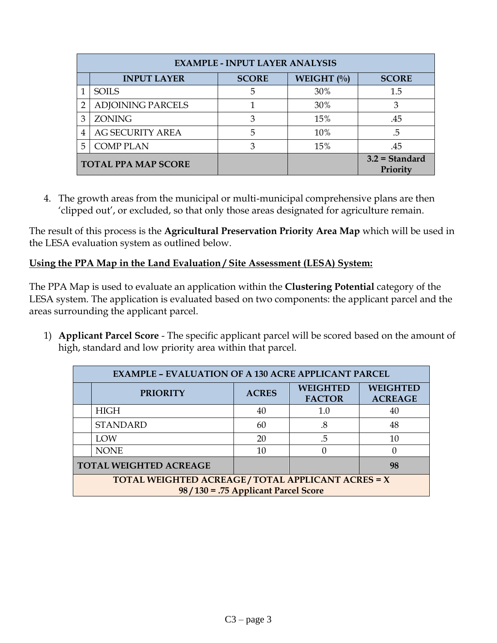| <b>EXAMPLE - INPUT LAYER ANALYSIS</b> |                            |              |              |                              |
|---------------------------------------|----------------------------|--------------|--------------|------------------------------|
|                                       | <b>INPUT LAYER</b>         | <b>SCORE</b> | WEIGHT $(\%$ | <b>SCORE</b>                 |
|                                       | <b>SOILS</b>               | 5            | 30%          | 1.5                          |
| 2                                     | ADJOINING PARCELS          |              | 30%          | З                            |
| З                                     | <b>ZONING</b>              |              | 15%          | .45                          |
| 4                                     | <b>AG SECURITY AREA</b>    | 5            | 10%          | .5                           |
| 5                                     | <b>COMP PLAN</b>           | 3            | 15%          | .45                          |
|                                       | <b>TOTAL PPA MAP SCORE</b> |              |              | $3.2$ = Standard<br>Priority |

4. The growth areas from the municipal or multi-municipal comprehensive plans are then 'clipped out', or excluded, so that only those areas designated for agriculture remain.

The result of this process is the **Agricultural Preservation Priority Area Map** which will be used in the LESA evaluation system as outlined below.

## **Using the PPA Map in the Land Evaluation / Site Assessment (LESA) System:**

The PPA Map is used to evaluate an application within the **Clustering Potential** category of the LESA system. The application is evaluated based on two components: the applicant parcel and the areas surrounding the applicant parcel.

1) **Applicant Parcel Score** - The specific applicant parcel will be scored based on the amount of high, standard and low priority area within that parcel.

| <b>EXAMPLE - EVALUATION OF A 130 ACRE APPLICANT PARCEL</b>                                |                 |              |                                  |                                   |
|-------------------------------------------------------------------------------------------|-----------------|--------------|----------------------------------|-----------------------------------|
|                                                                                           | <b>PRIORITY</b> | <b>ACRES</b> | <b>WEIGHTED</b><br><b>FACTOR</b> | <b>WEIGHTED</b><br><b>ACREAGE</b> |
|                                                                                           | <b>HIGH</b>     | 40           | 1.0                              | 40                                |
|                                                                                           | <b>STANDARD</b> | 60           | .8                               | 48                                |
|                                                                                           | LOW             | 20           | .5                               | 10                                |
|                                                                                           | <b>NONE</b>     | 10           |                                  |                                   |
| <b>TOTAL WEIGHTED ACREAGE</b><br>98                                                       |                 |              |                                  |                                   |
| TOTAL WEIGHTED ACREAGE/TOTAL APPLICANT ACRES = X<br>$98/130 = .75$ Applicant Parcel Score |                 |              |                                  |                                   |